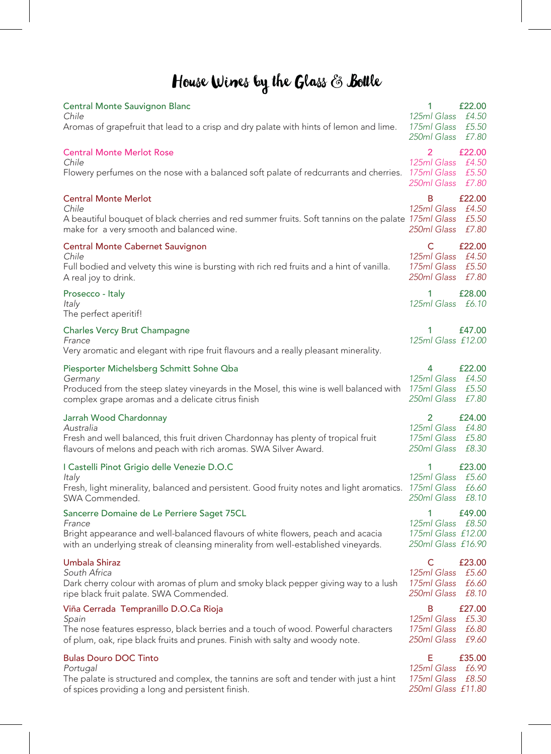# House Wines by the Glass & Bottle

| <b>Central Monte Sauvignon Blanc</b><br>Chile<br>Aromas of grapefruit that lead to a crisp and dry palate with hints of lemon and lime.                                                                                       | 1<br>125ml Glass<br>175ml Glass<br>250ml Glass               | £22.00<br>£4.50<br>£5.50<br>£7.80 |
|-------------------------------------------------------------------------------------------------------------------------------------------------------------------------------------------------------------------------------|--------------------------------------------------------------|-----------------------------------|
| <b>Central Monte Merlot Rose</b><br>Chile<br>Flowery perfumes on the nose with a balanced soft palate of redcurrants and cherries.                                                                                            | 2<br>125ml Glass<br>175ml Glass<br>250ml Glass               | £22.00<br>£4.50<br>£5.50<br>£7.80 |
| <b>Central Monte Merlot</b><br>Chile<br>A beautiful bouquet of black cherries and red summer fruits. Soft tannins on the palate 175ml Glass<br>make for a very smooth and balanced wine.                                      | B<br>125ml Glass<br>250ml Glass                              | £22.00<br>£4.50<br>£5.50<br>£7.80 |
| <b>Central Monte Cabernet Sauvignon</b><br>Chile<br>Full bodied and velvety this wine is bursting with rich red fruits and a hint of vanilla.<br>A real joy to drink.                                                         | C<br>125ml Glass<br>175ml Glass<br>250ml Glass               | £22.00<br>£4.50<br>£5.50<br>£7.80 |
| Prosecco - Italy<br>Italy<br>The perfect aperitif!                                                                                                                                                                            | 1<br>125ml Glass                                             | £28.00<br>£6.10                   |
| <b>Charles Vercy Brut Champagne</b><br>France<br>Very aromatic and elegant with ripe fruit flavours and a really pleasant minerality.                                                                                         | 1<br>125ml Glass £12.00                                      | £47.00                            |
| Piesporter Michelsberg Schmitt Sohne Qba<br>Germany<br>Produced from the steep slatey vineyards in the Mosel, this wine is well balanced with<br>complex grape aromas and a delicate citrus finish                            | 4<br>125ml Glass<br>175ml Glass<br>250ml Glass               | £22.00<br>£4.50<br>£5.50<br>£7.80 |
| Jarrah Wood Chardonnay<br>Australia<br>Fresh and well balanced, this fruit driven Chardonnay has plenty of tropical fruit<br>flavours of melons and peach with rich aromas. SWA Silver Award.                                 | $\overline{2}$<br>125ml Glass<br>175ml Glass<br>250ml Glass  | £24.00<br>£4.80<br>£5.80<br>£8.30 |
| I Castelli Pinot Grigio delle Venezie D.O.C<br>Italy<br>Fresh, light minerality, balanced and persistent. Good fruity notes and light aromatics.<br>SWA Commended.                                                            | $1 \quad$<br>125ml Glass<br>175ml Glass<br>250ml Glass       | £23.00<br>£5.60<br>£6.60<br>£8.10 |
| Sancerre Domaine de Le Perriere Saget 75CL<br>France<br>Bright appearance and well-balanced flavours of white flowers, peach and acacia<br>with an underlying streak of cleansing minerality from well-established vineyards. | 1<br>125ml Glass<br>175ml Glass £12.00<br>250ml Glass £16.90 | £49.00<br>£8.50                   |
| Umbala Shiraz<br>South Africa<br>Dark cherry colour with aromas of plum and smoky black pepper giving way to a lush<br>ripe black fruit palate. SWA Commended.                                                                | C<br>125ml Glass<br>175ml Glass<br>250ml Glass               | £23.00<br>£5.60<br>£6.60<br>£8.10 |
| Viña Cerrada Tempranillo D.O.Ca Rioja<br>Spain<br>The nose features espresso, black berries and a touch of wood. Powerful characters<br>of plum, oak, ripe black fruits and prunes. Finish with salty and woody note.         | B<br>125ml Glass<br>175ml Glass<br>250ml Glass               | £27.00<br>£5.30<br>£6.80<br>£9.60 |
| <b>Bulas Douro DOC Tinto</b><br>Portugal<br>The palate is structured and complex, the tannins are soft and tender with just a hint<br>of spices providing a long and persistent finish.                                       | Е<br>125ml Glass<br>175ml Glass<br>250ml Glass £11.80        | £35.00<br>£6.90<br>£8.50          |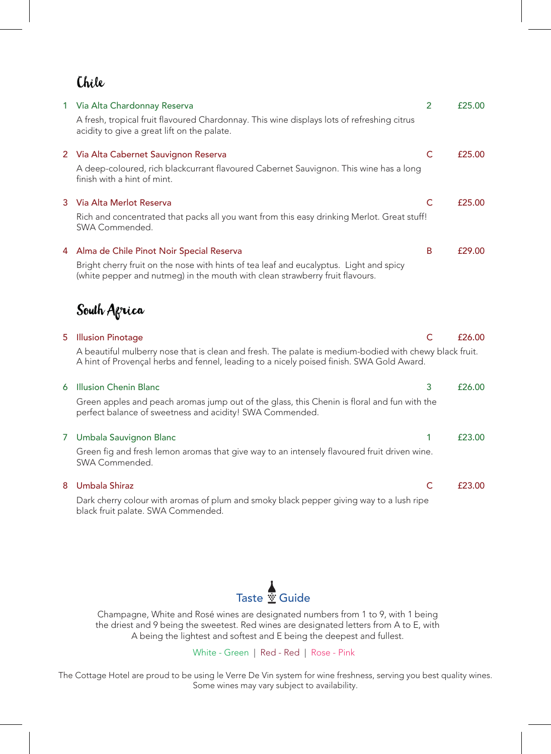## Chile

|   | 1 Via Alta Chardonnay Reserva                                                                                                                                                                      | $\overline{2}$ | £25.00 |
|---|----------------------------------------------------------------------------------------------------------------------------------------------------------------------------------------------------|----------------|--------|
|   | A fresh, tropical fruit flavoured Chardonnay. This wine displays lots of refreshing citrus<br>acidity to give a great lift on the palate.                                                          |                |        |
|   | 2 Via Alta Cabernet Sauvignon Reserva                                                                                                                                                              | $\mathsf{C}$   | £25.00 |
|   | A deep-coloured, rich blackcurrant flavoured Cabernet Sauvignon. This wine has a long<br>finish with a hint of mint.                                                                               |                |        |
| 3 | Via Alta Merlot Reserva                                                                                                                                                                            | $\mathsf{C}$   | £25.00 |
|   | Rich and concentrated that packs all you want from this easy drinking Merlot. Great stuff!<br>SWA Commended.                                                                                       |                |        |
|   | 4 Alma de Chile Pinot Noir Special Reserva                                                                                                                                                         | B              | £29.00 |
|   | Bright cherry fruit on the nose with hints of tea leaf and eucalyptus. Light and spicy<br>(white pepper and nutmeg) in the mouth with clean strawberry fruit flavours.                             |                |        |
|   | South Agrica                                                                                                                                                                                       |                |        |
| 5 | <b>Illusion Pinotage</b>                                                                                                                                                                           | C              | £26.00 |
|   | A beautiful mulberry nose that is clean and fresh. The palate is medium-bodied with chewy black fruit.<br>A hint of Provençal herbs and fennel, leading to a nicely poised finish. SWA Gold Award. |                |        |
| 6 | <b>Illusion Chenin Blanc</b>                                                                                                                                                                       | 3              | £26.00 |
|   | Green apples and peach aromas jump out of the glass, this Chenin is floral and fun with the<br>perfect balance of sweetness and acidity! SWA Commended.                                            |                |        |

#### 7 Umbala Sauvignon Blanc

Green fig and fresh lemon aromas that give way to an intensely flavoured fruit driven wine. SWA Commended.

1 £23.00

C £23.00

#### 8 Umbala Shiraz

Dark cherry colour with aromas of plum and smoky black pepper giving way to a lush ripe black fruit palate. SWA Commended.



Champagne, White and Rosé wines are designated numbers from 1 to 9, with 1 being the driest and 9 being the sweetest. Red wines are designated letters from A to E, with A being the lightest and softest and E being the deepest and fullest.

White - Green | Red - Red | Rose - Pink

The Cottage Hotel are proud to be using le Verre De Vin system for wine freshness, serving you best quality wines. Some wines may vary subject to availability.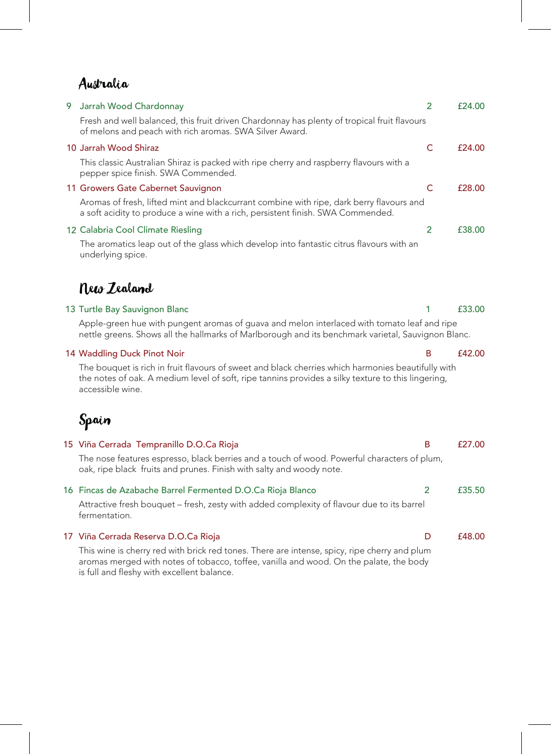#### Australia

| 9 Jarrah Wood Chardonnay                                                                                                                                                    | £24.00 |
|-----------------------------------------------------------------------------------------------------------------------------------------------------------------------------|--------|
| Fresh and well balanced, this fruit driven Chardonnay has plenty of tropical fruit flavours<br>of melons and peach with rich aromas. SWA Silver Award.                      |        |
| 10 Jarrah Wood Shiraz                                                                                                                                                       | £24.00 |
| This classic Australian Shiraz is packed with ripe cherry and raspberry flavours with a<br>pepper spice finish. SWA Commended.                                              |        |
| 11 Growers Gate Cabernet Sauvignon                                                                                                                                          | £28.00 |
| Aromas of fresh, lifted mint and blackcurrant combine with ripe, dark berry flavours and<br>a soft acidity to produce a wine with a rich, persistent finish. SWA Commended. |        |
| 12 Calabria Cool Climate Riesling                                                                                                                                           | £38.00 |
| The aromatics leap out of the glass which develop into fantastic citrus flavours with an                                                                                    |        |

tics leap out ot the glass which develop into fantastic citrus flavours with an underlying spice.

### New Zealand

#### 13 Turtle Bay Sauvignon Blanc

Apple-green hue with pungent aromas of guava and melon interlaced with tomato leaf and ripe nettle greens. Shows all the hallmarks of Marlborough and its benchmark varietal, Sauvignon Blanc.

#### 14 Waddling Duck Pinot Noir

The bouquet is rich in fruit flavours of sweet and black cherries which harmonies beautifully with the notes of oak. A medium level of soft, ripe tannins provides a silky texture to this lingering, accessible wine.

## Spain

| 15 Viña Cerrada Tempranillo D.O.Ca Rioja                                                                                                                            | B | f27.00 |
|---------------------------------------------------------------------------------------------------------------------------------------------------------------------|---|--------|
| The nose features espresso, black berries and a touch of wood. Powerful characters of plum,<br>oak, ripe black fruits and prunes. Finish with salty and woody note. |   |        |
| 16 Fincas de Azabache Barrel Fermented D.O.Ca Rioja Blanco                                                                                                          | 2 | £35.50 |
| Attractive fresh bouquet - fresh, zesty with added complexity of flavour due to its barrel<br>fermentation.                                                         |   |        |
| 17 Viña Cerrada Reserva D.O.Ca Rioja                                                                                                                                | D | £48.00 |
| This wine is cherry red with brick red tones. There are intense, spicy, ripe cherry and plum                                                                        |   |        |

aromas merged with notes of tobacco, toffee, vanilla and wood. On the palate, the body is full and fleshy with excellent balance.

#### B £42.00

1 £33.00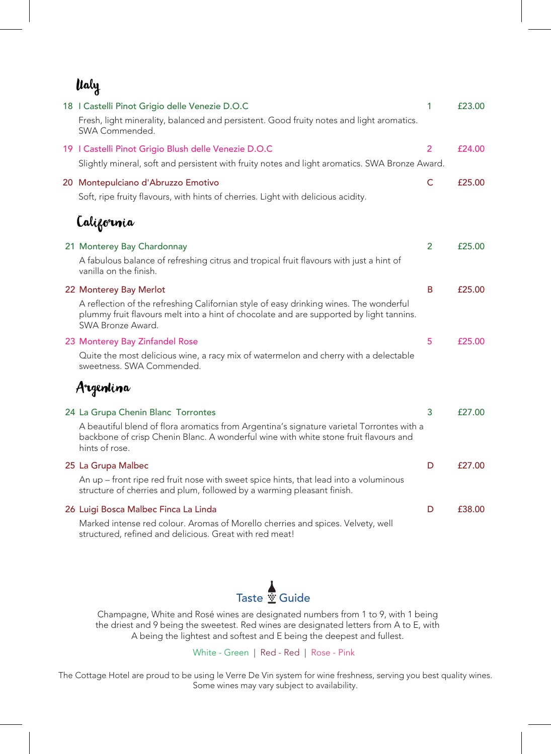| ltaly |
|-------|
|-------|

| 18   Castelli Pinot Grigio delle Venezie D.O.C<br>Fresh, light minerality, balanced and persistent. Good fruity notes and light aromatics.<br>SWA Commended.                                                                              | 1              | £23.00 |
|-------------------------------------------------------------------------------------------------------------------------------------------------------------------------------------------------------------------------------------------|----------------|--------|
| 19   Castelli Pinot Grigio Blush delle Venezie D.O.C<br>Slightly mineral, soft and persistent with fruity notes and light aromatics. SWA Bronze Award.                                                                                    | $\overline{2}$ | £24.00 |
| 20 Montepulciano d'Abruzzo Emotivo<br>Soft, ripe fruity flavours, with hints of cherries. Light with delicious acidity.                                                                                                                   | $\mathsf{C}$   | £25.00 |
| Lalifornia                                                                                                                                                                                                                                |                |        |
| 21 Monterey Bay Chardonnay<br>A fabulous balance of refreshing citrus and tropical fruit flavours with just a hint of<br>vanilla on the finish.                                                                                           | $\overline{2}$ | £25.00 |
| 22 Monterey Bay Merlot<br>A reflection of the refreshing Californian style of easy drinking wines. The wonderful<br>plummy fruit flavours melt into a hint of chocolate and are supported by light tannins.<br>SWA Bronze Award.          | B              | £25.00 |
| 23 Monterey Bay Zinfandel Rose<br>Quite the most delicious wine, a racy mix of watermelon and cherry with a delectable<br>sweetness. SWA Commended.                                                                                       | 5              | £25.00 |
| Argentina                                                                                                                                                                                                                                 |                |        |
| 24 La Grupa Chenin Blanc Torrontes<br>A beautiful blend of flora aromatics from Argentina's signature varietal Torrontes with a<br>backbone of crisp Chenin Blanc. A wonderful wine with white stone fruit flavours and<br>hints of rose. | 3              | £27.00 |
| 25 La Grupa Malbec<br>An up - front ripe red fruit nose with sweet spice hints, that lead into a voluminous<br>structure of cherries and plum, followed by a warming pleasant finish.                                                     | D              | £27.00 |
| 26 Luigi Bosca Malbec Finca La Linda<br>Marked intense red colour. Aromas of Morello cherries and spices. Velvety, well<br>structured, refined and delicious. Great with red meat!                                                        | D              | £38.00 |



Champagne, White and Rosé wines are designated numbers from 1 to 9, with 1 being the driest and 9 being the sweetest. Red wines are designated letters from A to E, with A being the lightest and softest and E being the deepest and fullest.

White - Green | Red - Red | Rose - Pink

The Cottage Hotel are proud to be using le Verre De Vin system for wine freshness, serving you best quality wines. Some wines may vary subject to availability.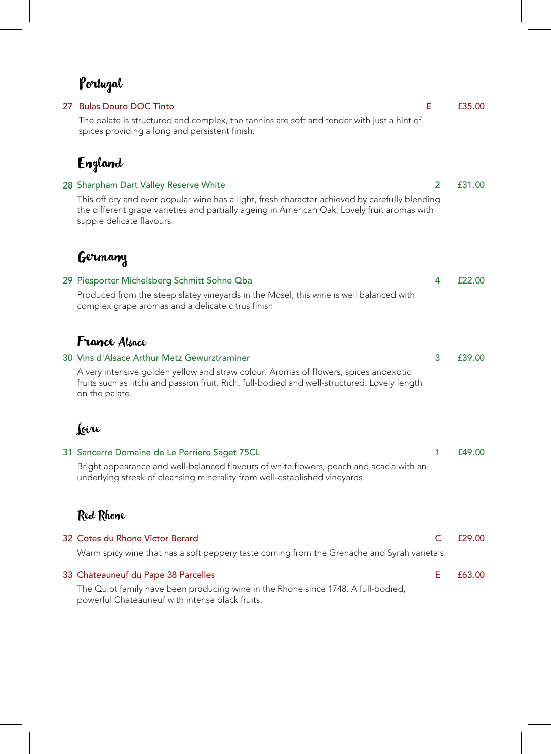## Portugal

| $\mathbf{v}$ and $\mathbf{v}$                                                                                                                                                                                               |                |        |
|-----------------------------------------------------------------------------------------------------------------------------------------------------------------------------------------------------------------------------|----------------|--------|
| 27 Bulas Douro DOC Tinto                                                                                                                                                                                                    | Е              | £35.00 |
| The palate is structured and complex, the tannins are soft and tender with just a hint of<br>spices providing a long and persistent finish.                                                                                 |                |        |
| <b>England</b>                                                                                                                                                                                                              |                |        |
| 28 Sharpham Dart Valley Reserve White                                                                                                                                                                                       | $\overline{2}$ | £31.00 |
| This off dry and ever popular wine has a light, fresh character achieved by carefully blending<br>the different grape varieties and partially ageing in American Oak. Lovely fruit aromas with<br>supple delicate flavours. |                |        |
| Germany                                                                                                                                                                                                                     |                |        |
| 29 Piesporter Michelsberg Schmitt Sohne Qba                                                                                                                                                                                 | 4              | £22.00 |
| Produced from the steep slatey vineyards in the Mosel, this wine is well balanced with<br>complex grape aromas and a delicate citrus finish                                                                                 |                |        |
| <b>France Alsace</b>                                                                                                                                                                                                        |                |        |
| 30 Vins d'Alsace Arthur Metz Gewurztraminer                                                                                                                                                                                 | 3              | £39.00 |
| A very intensive golden yellow and straw colour. Aromas of flowers, spices andexotic<br>fruits such as litchi and passion fruit. Rich, full-bodied and well-structured. Lovely length<br>on the palate.                     |                |        |
| Joire                                                                                                                                                                                                                       |                |        |
| 31 Sancerre Domaine de Le Perriere Saget 75CL                                                                                                                                                                               | 1              | £49.00 |
| Bright appearance and well-balanced flavours of white flowers, peach and acacia with an<br>underlying streak of cleansing minerality from well-established vineyards.                                                       |                |        |

## Red Rhone

| 32 Cotes du Rhone Victor Berard                                                                                                      | f29.00 |
|--------------------------------------------------------------------------------------------------------------------------------------|--------|
| Warm spicy wine that has a soft peppery taste coming from the Grenache and Syrah varietals.                                          |        |
| 33 Chateauneuf du Pape 38 Parcelles                                                                                                  | £63.00 |
| The Quiot family have been producing wine in the Rhone since 1748. A full-bodied,<br>powerful Chateauneuf with intense black fruits. |        |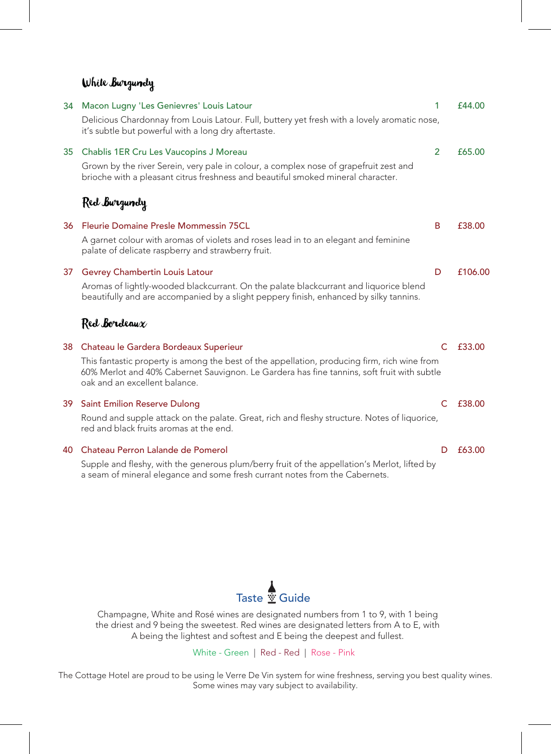#### White Burgundy

| 34              | Macon Lugny 'Les Genievres' Louis Latour                                                                                                                                                                                    | 1              | £44.00  |
|-----------------|-----------------------------------------------------------------------------------------------------------------------------------------------------------------------------------------------------------------------------|----------------|---------|
|                 | Delicious Chardonnay from Louis Latour. Full, buttery yet fresh with a lovely aromatic nose,<br>it's subtle but powerful with a long dry aftertaste.                                                                        |                |         |
| 35 <sub>1</sub> | Chablis 1ER Cru Les Vaucopins J Moreau                                                                                                                                                                                      | $\overline{2}$ | £65.00  |
|                 | Grown by the river Serein, very pale in colour, a complex nose of grapefruit zest and<br>brioche with a pleasant citrus freshness and beautiful smoked mineral character.                                                   |                |         |
|                 | Red Burgundy                                                                                                                                                                                                                |                |         |
| 36              | Fleurie Domaine Presle Mommessin 75CL                                                                                                                                                                                       | B              | £38.00  |
|                 | A garnet colour with aromas of violets and roses lead in to an elegant and feminine<br>palate of delicate raspberry and strawberry fruit.                                                                                   |                |         |
| 37              | <b>Gevrey Chambertin Louis Latour</b>                                                                                                                                                                                       | D              | £106.00 |
|                 | Aromas of lightly-wooded blackcurrant. On the palate blackcurrant and liquorice blend<br>beautifully and are accompanied by a slight peppery finish, enhanced by silky tannins.                                             |                |         |
|                 | Red Bordeaux                                                                                                                                                                                                                |                |         |
| 38              | Chateau le Gardera Bordeaux Superieur                                                                                                                                                                                       | C              | £33.00  |
|                 | This fantastic property is among the best of the appellation, producing firm, rich wine from<br>60% Merlot and 40% Cabernet Sauvignon. Le Gardera has fine tannins, soft fruit with subtle<br>oak and an excellent balance. |                |         |
| 39              | <b>Saint Emilion Reserve Dulong</b>                                                                                                                                                                                         | C              | £38.00  |
|                 | Round and supple attack on the palate. Great, rich and fleshy structure. Notes of liquorice,<br>red and black fruits aromas at the end.                                                                                     |                |         |
| 40              | Chateau Perron Lalande de Pomerol                                                                                                                                                                                           | D              | £63.00  |
|                 | Supple and fleshy, with the generous plum/berry fruit of the appellation's Merlot, lifted by<br>a seam of mineral elegance and some fresh currant notes from the Cabernets.                                                 |                |         |



Champagne, White and Rosé wines are designated numbers from 1 to 9, with 1 being the driest and 9 being the sweetest. Red wines are designated letters from A to E, with A being the lightest and softest and E being the deepest and fullest.

White - Green | Red - Red | Rose - Pink

The Cottage Hotel are proud to be using le Verre De Vin system for wine freshness, serving you best quality wines. Some wines may vary subject to availability.